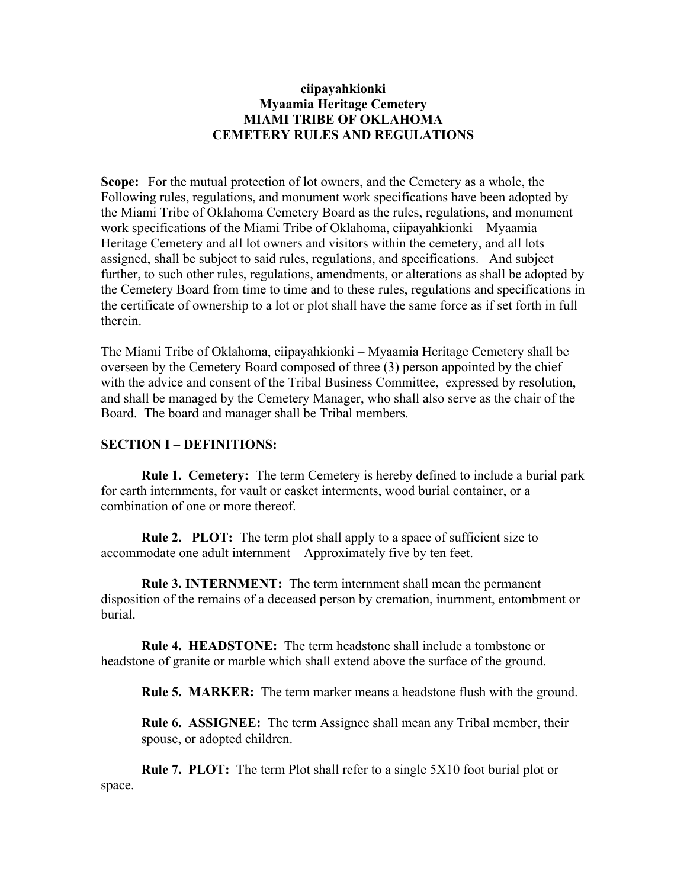## **ciipayahkionki Myaamia Heritage Cemetery MIAMI TRIBE OF OKLAHOMA CEMETERY RULES AND REGULATIONS**

**Scope:** For the mutual protection of lot owners, and the Cemetery as a whole, the Following rules, regulations, and monument work specifications have been adopted by the Miami Tribe of Oklahoma Cemetery Board as the rules, regulations, and monument work specifications of the Miami Tribe of Oklahoma, ciipayahkionki – Myaamia Heritage Cemetery and all lot owners and visitors within the cemetery, and all lots assigned, shall be subject to said rules, regulations, and specifications. And subject further, to such other rules, regulations, amendments, or alterations as shall be adopted by the Cemetery Board from time to time and to these rules, regulations and specifications in the certificate of ownership to a lot or plot shall have the same force as if set forth in full therein.

The Miami Tribe of Oklahoma, ciipayahkionki – Myaamia Heritage Cemetery shall be overseen by the Cemetery Board composed of three (3) person appointed by the chief with the advice and consent of the Tribal Business Committee, expressed by resolution, and shall be managed by the Cemetery Manager, who shall also serve as the chair of the Board. The board and manager shall be Tribal members.

## **SECTION I – DEFINITIONS:**

**Rule 1. Cemetery:** The term Cemetery is hereby defined to include a burial park for earth internments, for vault or casket interments, wood burial container, or a combination of one or more thereof.

**Rule 2. PLOT:** The term plot shall apply to a space of sufficient size to accommodate one adult internment – Approximately five by ten feet.

**Rule 3. INTERNMENT:** The term internment shall mean the permanent disposition of the remains of a deceased person by cremation, inurnment, entombment or burial.

**Rule 4. HEADSTONE:** The term headstone shall include a tombstone or headstone of granite or marble which shall extend above the surface of the ground.

**Rule 5. MARKER:** The term marker means a headstone flush with the ground.

**Rule 6. ASSIGNEE:** The term Assignee shall mean any Tribal member, their spouse, or adopted children.

**Rule 7. PLOT:** The term Plot shall refer to a single 5X10 foot burial plot or space.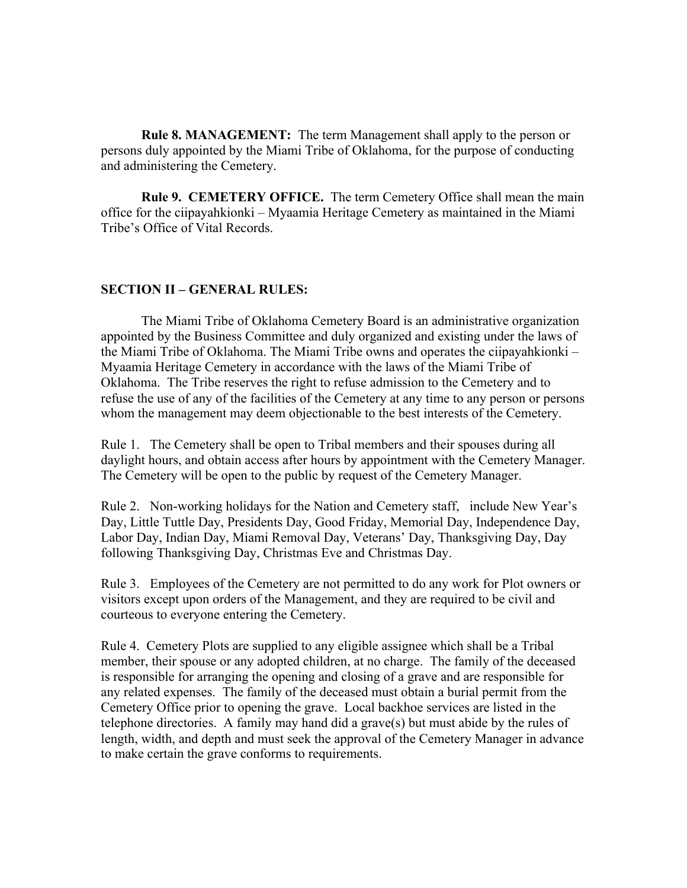**Rule 8. MANAGEMENT:** The term Management shall apply to the person or persons duly appointed by the Miami Tribe of Oklahoma, for the purpose of conducting and administering the Cemetery.

**Rule 9. CEMETERY OFFICE.** The term Cemetery Office shall mean the main office for the ciipayahkionki – Myaamia Heritage Cemetery as maintained in the Miami Tribe's Office of Vital Records.

### **SECTION II – GENERAL RULES:**

The Miami Tribe of Oklahoma Cemetery Board is an administrative organization appointed by the Business Committee and duly organized and existing under the laws of the Miami Tribe of Oklahoma. The Miami Tribe owns and operates the ciipayahkionki – Myaamia Heritage Cemetery in accordance with the laws of the Miami Tribe of Oklahoma. The Tribe reserves the right to refuse admission to the Cemetery and to refuse the use of any of the facilities of the Cemetery at any time to any person or persons whom the management may deem objectionable to the best interests of the Cemetery.

Rule 1. The Cemetery shall be open to Tribal members and their spouses during all daylight hours, and obtain access after hours by appointment with the Cemetery Manager. The Cemetery will be open to the public by request of the Cemetery Manager.

Rule 2. Non-working holidays for the Nation and Cemetery staff, include New Year's Day, Little Tuttle Day, Presidents Day, Good Friday, Memorial Day, Independence Day, Labor Day, Indian Day, Miami Removal Day, Veterans' Day, Thanksgiving Day, Day following Thanksgiving Day, Christmas Eve and Christmas Day.

Rule 3. Employees of the Cemetery are not permitted to do any work for Plot owners or visitors except upon orders of the Management, and they are required to be civil and courteous to everyone entering the Cemetery.

Rule 4. Cemetery Plots are supplied to any eligible assignee which shall be a Tribal member, their spouse or any adopted children, at no charge. The family of the deceased is responsible for arranging the opening and closing of a grave and are responsible for any related expenses. The family of the deceased must obtain a burial permit from the Cemetery Office prior to opening the grave. Local backhoe services are listed in the telephone directories. A family may hand did a grave(s) but must abide by the rules of length, width, and depth and must seek the approval of the Cemetery Manager in advance to make certain the grave conforms to requirements.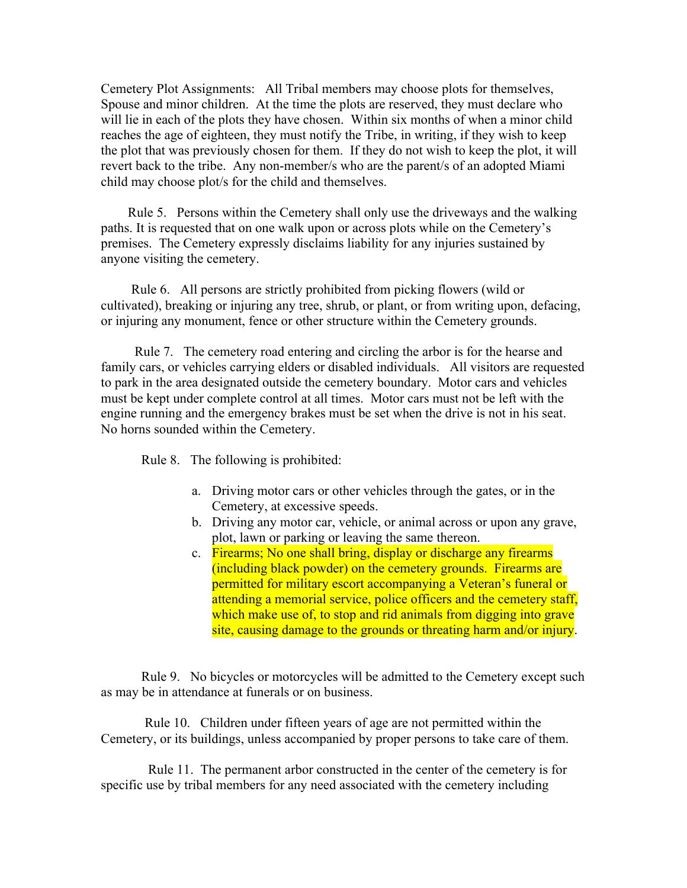Cemetery Plot Assignments: All Tribal members may choose plots for themselves, Spouse and minor children. At the time the plots are reserved, they must declare who will lie in each of the plots they have chosen. Within six months of when a minor child reaches the age of eighteen, they must notify the Tribe, in writing, if they wish to keep the plot that was previously chosen for them. If they do not wish to keep the plot, it will revert back to the tribe. Any non-member/s who are the parent/s of an adopted Miami child may choose plot/s for the child and themselves.

 Rule 5. Persons within the Cemetery shall only use the driveways and the walking paths. It is requested that on one walk upon or across plots while on the Cemetery's premises. The Cemetery expressly disclaims liability for any injuries sustained by anyone visiting the cemetery.

 Rule 6. All persons are strictly prohibited from picking flowers (wild or cultivated), breaking or injuring any tree, shrub, or plant, or from writing upon, defacing, or injuring any monument, fence or other structure within the Cemetery grounds.

 Rule 7. The cemetery road entering and circling the arbor is for the hearse and family cars, or vehicles carrying elders or disabled individuals. All visitors are requested to park in the area designated outside the cemetery boundary. Motor cars and vehicles must be kept under complete control at all times. Motor cars must not be left with the engine running and the emergency brakes must be set when the drive is not in his seat. No horns sounded within the Cemetery.

Rule 8. The following is prohibited:

- a. Driving motor cars or other vehicles through the gates, or in the Cemetery, at excessive speeds.
- b. Driving any motor car, vehicle, or animal across or upon any grave, plot, lawn or parking or leaving the same thereon.
- c. Firearms; No one shall bring, display or discharge any firearms (including black powder) on the cemetery grounds. Firearms are permitted for military escort accompanying a Veteran's funeral or attending a memorial service, police officers and the cemetery staff, which make use of, to stop and rid animals from digging into grave site, causing damage to the grounds or threating harm and/or injury.

 Rule 9. No bicycles or motorcycles will be admitted to the Cemetery except such as may be in attendance at funerals or on business.

 Rule 10. Children under fifteen years of age are not permitted within the Cemetery, or its buildings, unless accompanied by proper persons to take care of them.

 Rule 11. The permanent arbor constructed in the center of the cemetery is for specific use by tribal members for any need associated with the cemetery including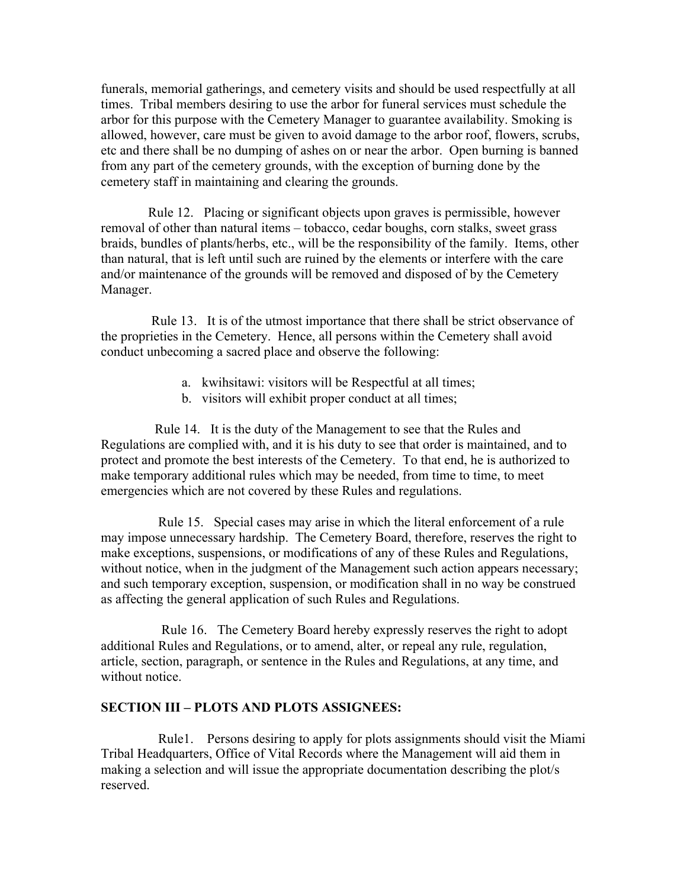funerals, memorial gatherings, and cemetery visits and should be used respectfully at all times. Tribal members desiring to use the arbor for funeral services must schedule the arbor for this purpose with the Cemetery Manager to guarantee availability. Smoking is allowed, however, care must be given to avoid damage to the arbor roof, flowers, scrubs, etc and there shall be no dumping of ashes on or near the arbor. Open burning is banned from any part of the cemetery grounds, with the exception of burning done by the cemetery staff in maintaining and clearing the grounds.

 Rule 12. Placing or significant objects upon graves is permissible, however removal of other than natural items – tobacco, cedar boughs, corn stalks, sweet grass braids, bundles of plants/herbs, etc., will be the responsibility of the family. Items, other than natural, that is left until such are ruined by the elements or interfere with the care and/or maintenance of the grounds will be removed and disposed of by the Cemetery Manager.

 Rule 13. It is of the utmost importance that there shall be strict observance of the proprieties in the Cemetery. Hence, all persons within the Cemetery shall avoid conduct unbecoming a sacred place and observe the following:

- a. kwihsitawi: visitors will be Respectful at all times;
- b. visitors will exhibit proper conduct at all times;

 Rule 14. It is the duty of the Management to see that the Rules and Regulations are complied with, and it is his duty to see that order is maintained, and to protect and promote the best interests of the Cemetery. To that end, he is authorized to make temporary additional rules which may be needed, from time to time, to meet emergencies which are not covered by these Rules and regulations.

 Rule 15. Special cases may arise in which the literal enforcement of a rule may impose unnecessary hardship. The Cemetery Board, therefore, reserves the right to make exceptions, suspensions, or modifications of any of these Rules and Regulations, without notice, when in the judgment of the Management such action appears necessary; and such temporary exception, suspension, or modification shall in no way be construed as affecting the general application of such Rules and Regulations.

 Rule 16. The Cemetery Board hereby expressly reserves the right to adopt additional Rules and Regulations, or to amend, alter, or repeal any rule, regulation, article, section, paragraph, or sentence in the Rules and Regulations, at any time, and without notice.

#### **SECTION III – PLOTS AND PLOTS ASSIGNEES:**

 Rule1. Persons desiring to apply for plots assignments should visit the Miami Tribal Headquarters, Office of Vital Records where the Management will aid them in making a selection and will issue the appropriate documentation describing the plot/s reserved.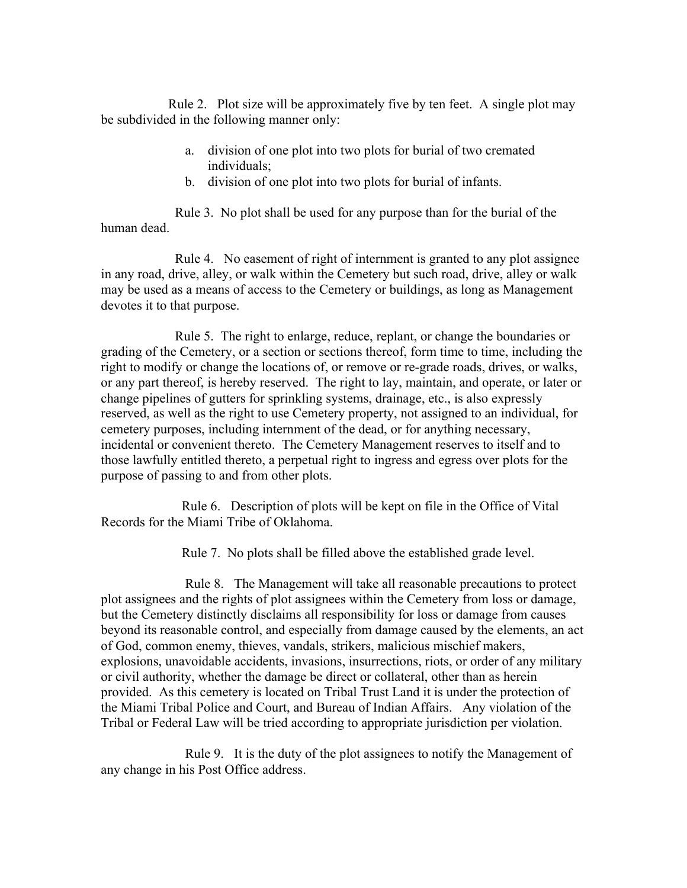Rule 2. Plot size will be approximately five by ten feet. A single plot may be subdivided in the following manner only:

- a. division of one plot into two plots for burial of two cremated individuals;
- b. division of one plot into two plots for burial of infants.

 Rule 3. No plot shall be used for any purpose than for the burial of the human dead.

 Rule 4. No easement of right of internment is granted to any plot assignee in any road, drive, alley, or walk within the Cemetery but such road, drive, alley or walk may be used as a means of access to the Cemetery or buildings, as long as Management devotes it to that purpose.

 Rule 5. The right to enlarge, reduce, replant, or change the boundaries or grading of the Cemetery, or a section or sections thereof, form time to time, including the right to modify or change the locations of, or remove or re-grade roads, drives, or walks, or any part thereof, is hereby reserved. The right to lay, maintain, and operate, or later or change pipelines of gutters for sprinkling systems, drainage, etc., is also expressly reserved, as well as the right to use Cemetery property, not assigned to an individual, for cemetery purposes, including internment of the dead, or for anything necessary, incidental or convenient thereto. The Cemetery Management reserves to itself and to those lawfully entitled thereto, a perpetual right to ingress and egress over plots for the purpose of passing to and from other plots.

 Rule 6. Description of plots will be kept on file in the Office of Vital Records for the Miami Tribe of Oklahoma.

Rule 7. No plots shall be filled above the established grade level.

 Rule 8. The Management will take all reasonable precautions to protect plot assignees and the rights of plot assignees within the Cemetery from loss or damage, but the Cemetery distinctly disclaims all responsibility for loss or damage from causes beyond its reasonable control, and especially from damage caused by the elements, an act of God, common enemy, thieves, vandals, strikers, malicious mischief makers, explosions, unavoidable accidents, invasions, insurrections, riots, or order of any military or civil authority, whether the damage be direct or collateral, other than as herein provided. As this cemetery is located on Tribal Trust Land it is under the protection of the Miami Tribal Police and Court, and Bureau of Indian Affairs. Any violation of the Tribal or Federal Law will be tried according to appropriate jurisdiction per violation.

 Rule 9. It is the duty of the plot assignees to notify the Management of any change in his Post Office address.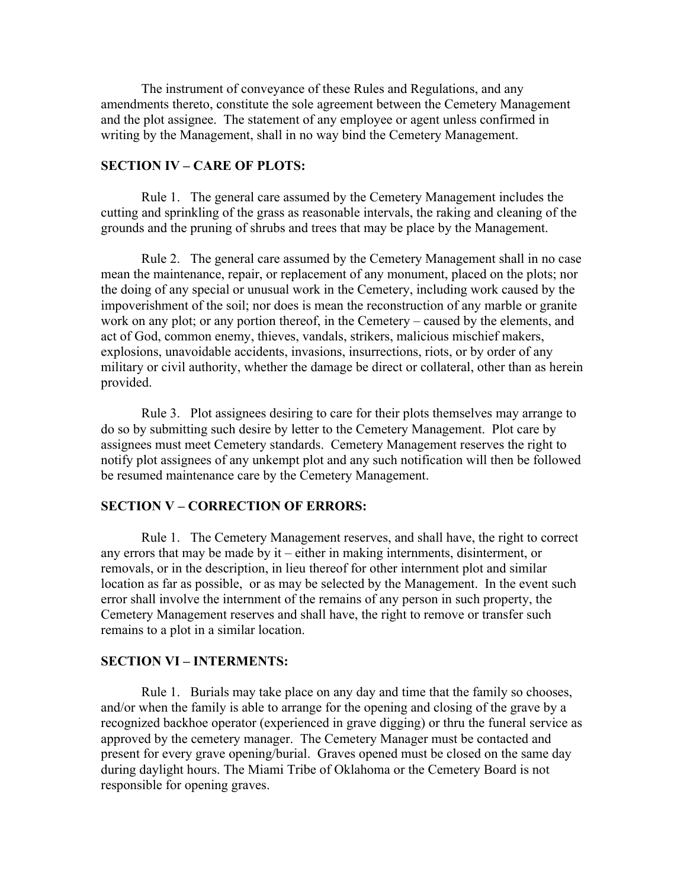The instrument of conveyance of these Rules and Regulations, and any amendments thereto, constitute the sole agreement between the Cemetery Management and the plot assignee. The statement of any employee or agent unless confirmed in writing by the Management, shall in no way bind the Cemetery Management.

## **SECTION IV – CARE OF PLOTS:**

Rule 1. The general care assumed by the Cemetery Management includes the cutting and sprinkling of the grass as reasonable intervals, the raking and cleaning of the grounds and the pruning of shrubs and trees that may be place by the Management.

Rule 2. The general care assumed by the Cemetery Management shall in no case mean the maintenance, repair, or replacement of any monument, placed on the plots; nor the doing of any special or unusual work in the Cemetery, including work caused by the impoverishment of the soil; nor does is mean the reconstruction of any marble or granite work on any plot; or any portion thereof, in the Cemetery – caused by the elements, and act of God, common enemy, thieves, vandals, strikers, malicious mischief makers, explosions, unavoidable accidents, invasions, insurrections, riots, or by order of any military or civil authority, whether the damage be direct or collateral, other than as herein provided.

Rule 3. Plot assignees desiring to care for their plots themselves may arrange to do so by submitting such desire by letter to the Cemetery Management. Plot care by assignees must meet Cemetery standards. Cemetery Management reserves the right to notify plot assignees of any unkempt plot and any such notification will then be followed be resumed maintenance care by the Cemetery Management.

### **SECTION V – CORRECTION OF ERRORS:**

Rule 1. The Cemetery Management reserves, and shall have, the right to correct any errors that may be made by it – either in making internments, disinterment, or removals, or in the description, in lieu thereof for other internment plot and similar location as far as possible, or as may be selected by the Management. In the event such error shall involve the internment of the remains of any person in such property, the Cemetery Management reserves and shall have, the right to remove or transfer such remains to a plot in a similar location.

### **SECTION VI – INTERMENTS:**

Rule 1. Burials may take place on any day and time that the family so chooses, and/or when the family is able to arrange for the opening and closing of the grave by a recognized backhoe operator (experienced in grave digging) or thru the funeral service as approved by the cemetery manager. The Cemetery Manager must be contacted and present for every grave opening/burial. Graves opened must be closed on the same day during daylight hours. The Miami Tribe of Oklahoma or the Cemetery Board is not responsible for opening graves.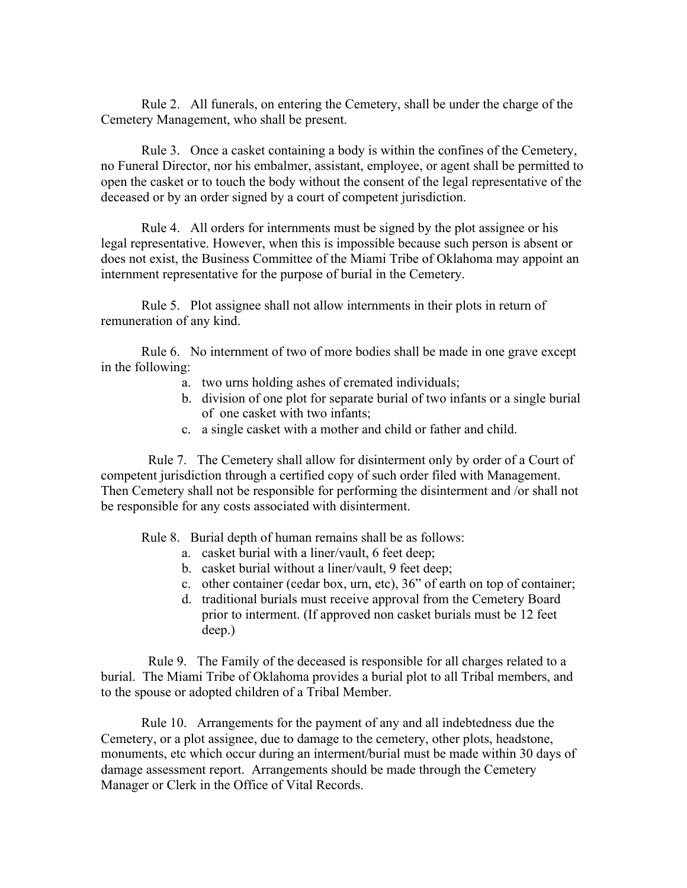Rule 2. All funerals, on entering the Cemetery, shall be under the charge of the Cemetery Management, who shall be present.

Rule 3. Once a casket containing a body is within the confines of the Cemetery, no Funeral Director, nor his embalmer, assistant, employee, or agent shall be permitted to open the casket or to touch the body without the consent of the legal representative of the deceased or by an order signed by a court of competent jurisdiction.

Rule 4. All orders for internments must be signed by the plot assignee or his legal representative. However, when this is impossible because such person is absent or does not exist, the Business Committee of the Miami Tribe of Oklahoma may appoint an internment representative for the purpose of burial in the Cemetery.

Rule 5. Plot assignee shall not allow internments in their plots in return of remuneration of any kind.

Rule 6. No internment of two of more bodies shall be made in one grave except in the following:

- a. two urns holding ashes of cremated individuals;
- b. division of one plot for separate burial of two infants or a single burial of one casket with two infants;
- c. a single casket with a mother and child or father and child.

 Rule 7. The Cemetery shall allow for disinterment only by order of a Court of competent jurisdiction through a certified copy of such order filed with Management. Then Cemetery shall not be responsible for performing the disinterment and /or shall not be responsible for any costs associated with disinterment.

Rule 8. Burial depth of human remains shall be as follows:

- a. casket burial with a liner/vault, 6 feet deep;
- b. casket burial without a liner/vault, 9 feet deep;
- c. other container (cedar box, urn, etc), 36" of earth on top of container;
- d. traditional burials must receive approval from the Cemetery Board prior to interment. (If approved non casket burials must be 12 feet deep.)

 Rule 9. The Family of the deceased is responsible for all charges related to a burial. The Miami Tribe of Oklahoma provides a burial plot to all Tribal members, and to the spouse or adopted children of a Tribal Member.

Rule 10. Arrangements for the payment of any and all indebtedness due the Cemetery, or a plot assignee, due to damage to the cemetery, other plots, headstone, monuments, etc which occur during an interment/burial must be made within 30 days of damage assessment report. Arrangements should be made through the Cemetery Manager or Clerk in the Office of Vital Records.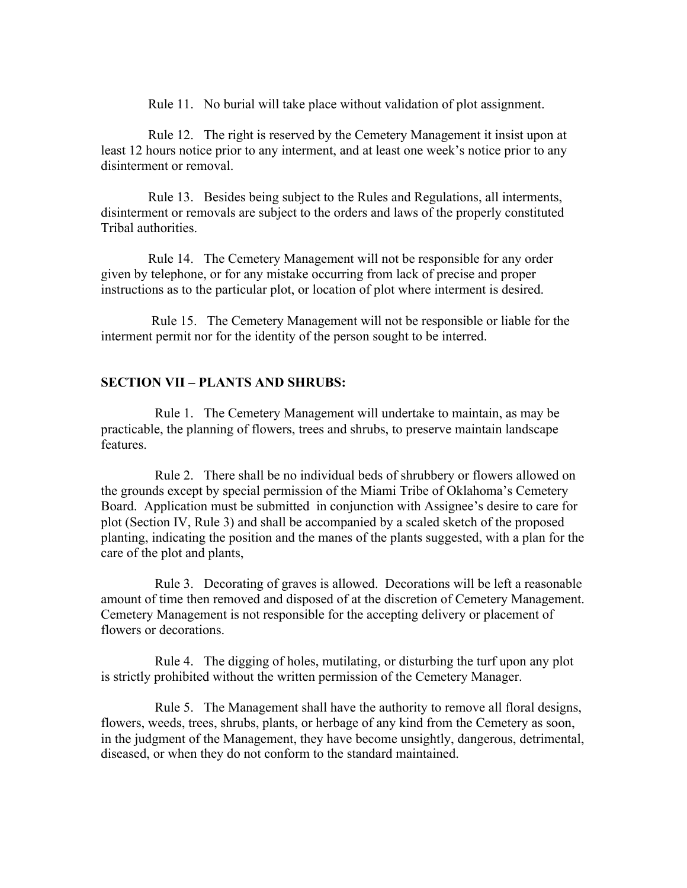Rule 11. No burial will take place without validation of plot assignment.

 Rule 12. The right is reserved by the Cemetery Management it insist upon at least 12 hours notice prior to any interment, and at least one week's notice prior to any disinterment or removal.

 Rule 13. Besides being subject to the Rules and Regulations, all interments, disinterment or removals are subject to the orders and laws of the properly constituted Tribal authorities.

 Rule 14. The Cemetery Management will not be responsible for any order given by telephone, or for any mistake occurring from lack of precise and proper instructions as to the particular plot, or location of plot where interment is desired.

 Rule 15. The Cemetery Management will not be responsible or liable for the interment permit nor for the identity of the person sought to be interred.

## **SECTION VII – PLANTS AND SHRUBS:**

 Rule 1. The Cemetery Management will undertake to maintain, as may be practicable, the planning of flowers, trees and shrubs, to preserve maintain landscape features.

 Rule 2. There shall be no individual beds of shrubbery or flowers allowed on the grounds except by special permission of the Miami Tribe of Oklahoma's Cemetery Board. Application must be submitted in conjunction with Assignee's desire to care for plot (Section IV, Rule 3) and shall be accompanied by a scaled sketch of the proposed planting, indicating the position and the manes of the plants suggested, with a plan for the care of the plot and plants,

 Rule 3. Decorating of graves is allowed. Decorations will be left a reasonable amount of time then removed and disposed of at the discretion of Cemetery Management. Cemetery Management is not responsible for the accepting delivery or placement of flowers or decorations.

 Rule 4. The digging of holes, mutilating, or disturbing the turf upon any plot is strictly prohibited without the written permission of the Cemetery Manager.

 Rule 5. The Management shall have the authority to remove all floral designs, flowers, weeds, trees, shrubs, plants, or herbage of any kind from the Cemetery as soon, in the judgment of the Management, they have become unsightly, dangerous, detrimental, diseased, or when they do not conform to the standard maintained.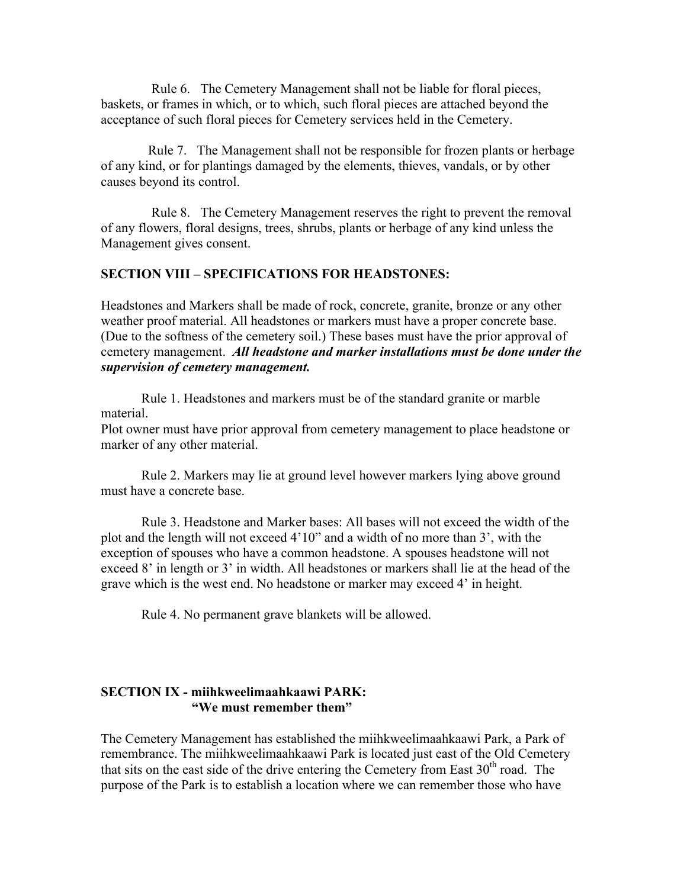Rule 6. The Cemetery Management shall not be liable for floral pieces, baskets, or frames in which, or to which, such floral pieces are attached beyond the acceptance of such floral pieces for Cemetery services held in the Cemetery.

 Rule 7. The Management shall not be responsible for frozen plants or herbage of any kind, or for plantings damaged by the elements, thieves, vandals, or by other causes beyond its control.

 Rule 8. The Cemetery Management reserves the right to prevent the removal of any flowers, floral designs, trees, shrubs, plants or herbage of any kind unless the Management gives consent.

#### **SECTION VIII – SPECIFICATIONS FOR HEADSTONES:**

Headstones and Markers shall be made of rock, concrete, granite, bronze or any other weather proof material. All headstones or markers must have a proper concrete base. (Due to the softness of the cemetery soil.) These bases must have the prior approval of cemetery management. *All headstone and marker installations must be done under the supervision of cemetery management.*

Rule 1. Headstones and markers must be of the standard granite or marble material.

Plot owner must have prior approval from cemetery management to place headstone or marker of any other material.

Rule 2. Markers may lie at ground level however markers lying above ground must have a concrete base.

Rule 3. Headstone and Marker bases: All bases will not exceed the width of the plot and the length will not exceed 4'10" and a width of no more than 3', with the exception of spouses who have a common headstone. A spouses headstone will not exceed 8' in length or 3' in width. All headstones or markers shall lie at the head of the grave which is the west end. No headstone or marker may exceed 4' in height.

Rule 4. No permanent grave blankets will be allowed.

# **SECTION IX - miihkweelimaahkaawi PARK: "We must remember them"**

The Cemetery Management has established the miihkweelimaahkaawi Park, a Park of remembrance. The miihkweelimaahkaawi Park is located just east of the Old Cemetery that sits on the east side of the drive entering the Cemetery from East  $30<sup>th</sup>$  road. The purpose of the Park is to establish a location where we can remember those who have